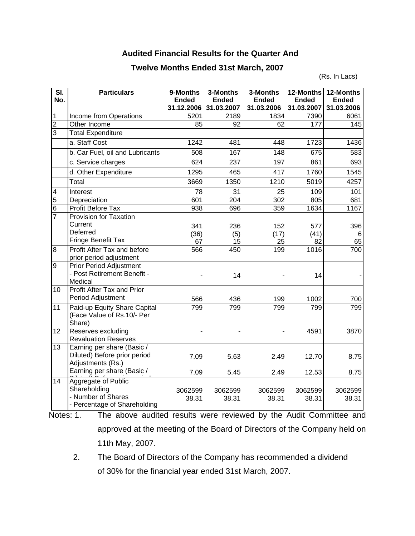## **Audited Financial Results for the Quarter And**

## **Twelve Months Ended 31st March, 2007**

(Rs. In Lacs)

| SI.<br>No.     | <b>Particulars</b>                                                                                            | 9-Months<br><b>Ended</b><br>31.12.2006 | 3-Months<br><b>Ended</b><br>31.03.2007 | 3-Months<br><b>Ended</b><br>31.03.2006 | 12-Months<br><b>Ended</b><br>31.03.2007 | 12-Months<br><b>Ended</b><br>31.03.2006 |
|----------------|---------------------------------------------------------------------------------------------------------------|----------------------------------------|----------------------------------------|----------------------------------------|-----------------------------------------|-----------------------------------------|
| 1              | Income from Operations                                                                                        | 5201                                   | 2189                                   | 1834                                   | 7390                                    | 6061                                    |
| $\overline{2}$ | Other Income                                                                                                  | 85                                     | 92                                     | 62                                     | 177                                     | 145                                     |
| $\overline{3}$ | <b>Total Expenditure</b>                                                                                      |                                        |                                        |                                        |                                         |                                         |
|                | a. Staff Cost                                                                                                 | 1242                                   | 481                                    | 448                                    | 1723                                    | 1436                                    |
|                | b. Car Fuel, oil and Lubricants                                                                               | 508                                    | 167                                    | 148                                    | 675                                     | 583                                     |
|                | c. Service charges                                                                                            | 624                                    | 237                                    | 197                                    | 861                                     | 693                                     |
|                | d. Other Expenditure                                                                                          | 1295                                   | 465                                    | 417                                    | 1760                                    | 1545                                    |
|                | Total                                                                                                         | 3669                                   | 1350                                   | 1210                                   | 5019                                    | 4257                                    |
| 4              | Interest                                                                                                      | 78                                     | $\overline{31}$                        | $\overline{25}$                        | 109                                     | 101                                     |
| $\overline{5}$ | Depreciation                                                                                                  | 601                                    | 204                                    | 302                                    | 805                                     | 681                                     |
| $\overline{6}$ | Profit Before Tax                                                                                             | 938                                    | 696                                    | 359                                    | 1634                                    | 1167                                    |
| $\overline{7}$ | Provision for Taxation<br>Current<br>Deferred<br>Fringe Benefit Tax                                           | 341<br>(36)<br>67                      | 236<br>(5)<br>15                       | 152<br>(17)<br>25                      | 577<br>(41)<br>82                       | 396<br>6<br>65                          |
| 8              | Profit After Tax and before<br>prior period adjustment                                                        | 566                                    | 450                                    | 199                                    | 1016                                    | 700                                     |
| 9              | <b>Prior Period Adjustment</b><br>- Post Retirement Benefit -<br>Medical                                      |                                        | 14                                     |                                        | 14                                      |                                         |
| 10             | Profit After Tax and Prior<br>Period Adjustment                                                               | 566                                    | 436                                    | 199                                    | 1002                                    | 700                                     |
| 11             | Paid-up Equity Share Capital<br>(Face Value of Rs.10/- Per<br>Share)                                          | 799                                    | 799                                    | 799                                    | 799                                     | 799                                     |
| 12             | Reserves excluding<br><b>Revaluation Reserves</b>                                                             |                                        |                                        |                                        | 4591                                    | 3870                                    |
| 13             | Earning per share (Basic /<br>Diluted) Before prior period<br>Adjustments (Rs.)<br>Earning per share (Basic / | 7.09<br>7.09                           | 5.63<br>5.45                           | 2.49<br>2.49                           | 12.70<br>12.53                          | 8.75<br>8.75                            |
| 14             | Aggregate of Public<br>Shareholding<br>- Number of Shares<br>- Percentage of Shareholding                     | 3062599<br>38.31                       | 3062599<br>38.31                       | 3062599<br>38.31                       | 3062599<br>38.31                        | 3062599<br>38.31                        |

Notes: 1. The above audited results were reviewed by the Audit Committee and approved at the meeting of the Board of Directors of the Company held on 11th May, 2007.

 2. The Board of Directors of the Company has recommended a dividend of 30% for the financial year ended 31st March, 2007.